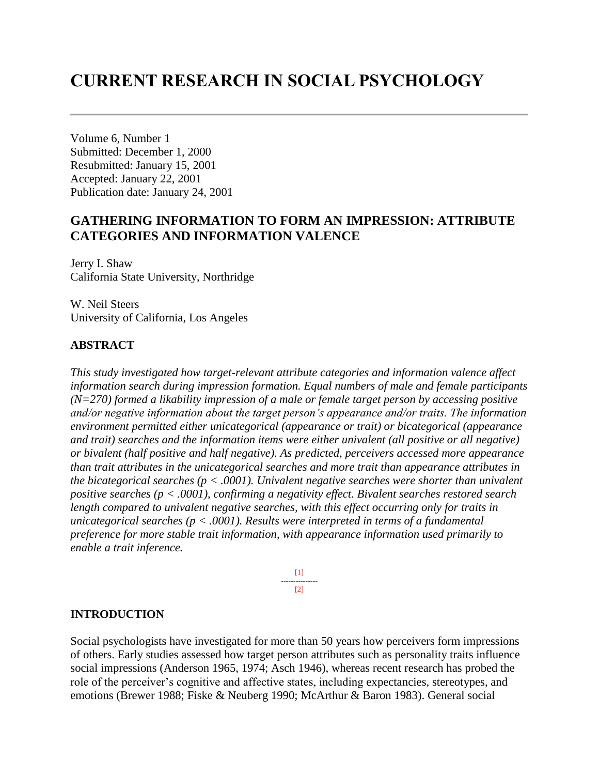# **CURRENT RESEARCH IN SOCIAL PSYCHOLOGY**

Volume 6, Number 1 Submitted: December 1, 2000 Resubmitted: January 15, 2001 Accepted: January 22, 2001 Publication date: January 24, 2001

# **GATHERING INFORMATION TO FORM AN IMPRESSION: ATTRIBUTE CATEGORIES AND INFORMATION VALENCE**

Jerry I. Shaw California State University, Northridge

W. Neil Steers University of California, Los Angeles

### **ABSTRACT**

*This study investigated how target-relevant attribute categories and information valence affect information search during impression formation. Equal numbers of male and female participants (N=270) formed a likability impression of a male or female target person by accessing positive and/or negative information about the target person's appearance and/or traits. The information environment permitted either unicategorical (appearance or trait) or bicategorical (appearance and trait) searches and the information items were either univalent (all positive or all negative) or bivalent (half positive and half negative). As predicted, perceivers accessed more appearance than trait attributes in the unicategorical searches and more trait than appearance attributes in the bicategorical searches (p < .0001). Univalent negative searches were shorter than univalent positive searches (p < .0001), confirming a negativity effect. Bivalent searches restored search length compared to univalent negative searches, with this effect occurring only for traits in unicategorical searches (p < .0001). Results were interpreted in terms of a fundamental preference for more stable trait information, with appearance information used primarily to enable a trait inference.*

> [1] ---------------  $[2]$

### **INTRODUCTION**

Social psychologists have investigated for more than 50 years how perceivers form impressions of others. Early studies assessed how target person attributes such as personality traits influence social impressions (Anderson 1965, 1974; Asch 1946), whereas recent research has probed the role of the perceiver's cognitive and affective states, including expectancies, stereotypes, and emotions (Brewer 1988; Fiske & Neuberg 1990; McArthur & Baron 1983). General social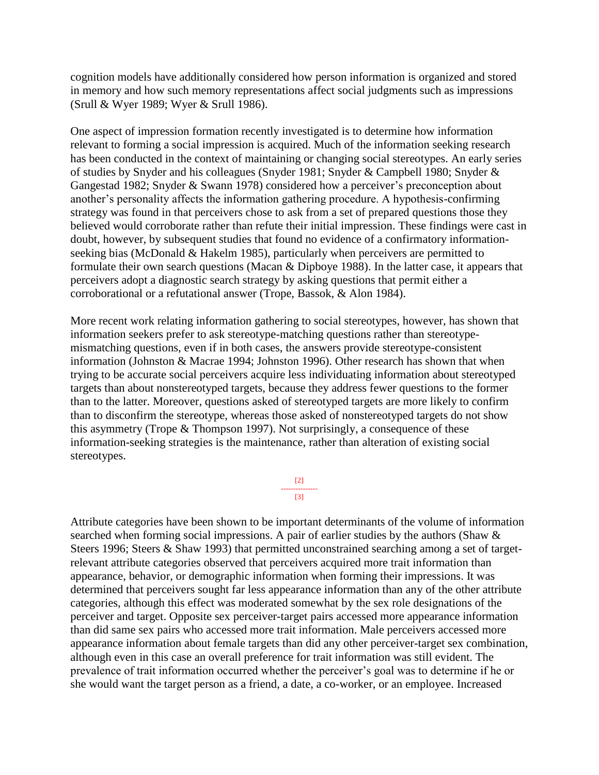cognition models have additionally considered how person information is organized and stored in memory and how such memory representations affect social judgments such as impressions (Srull & Wyer 1989; Wyer & Srull 1986).

One aspect of impression formation recently investigated is to determine how information relevant to forming a social impression is acquired. Much of the information seeking research has been conducted in the context of maintaining or changing social stereotypes. An early series of studies by Snyder and his colleagues (Snyder 1981; Snyder & Campbell 1980; Snyder & Gangestad 1982; Snyder & Swann 1978) considered how a perceiver's preconception about another's personality affects the information gathering procedure. A hypothesis-confirming strategy was found in that perceivers chose to ask from a set of prepared questions those they believed would corroborate rather than refute their initial impression. These findings were cast in doubt, however, by subsequent studies that found no evidence of a confirmatory informationseeking bias (McDonald & Hakelm 1985), particularly when perceivers are permitted to formulate their own search questions (Macan & Dipboye 1988). In the latter case, it appears that perceivers adopt a diagnostic search strategy by asking questions that permit either a corroborational or a refutational answer (Trope, Bassok, & Alon 1984).

More recent work relating information gathering to social stereotypes, however, has shown that information seekers prefer to ask stereotype-matching questions rather than stereotypemismatching questions, even if in both cases, the answers provide stereotype-consistent information (Johnston & Macrae 1994; Johnston 1996). Other research has shown that when trying to be accurate social perceivers acquire less individuating information about stereotyped targets than about nonstereotyped targets, because they address fewer questions to the former than to the latter. Moreover, questions asked of stereotyped targets are more likely to confirm than to disconfirm the stereotype, whereas those asked of nonstereotyped targets do not show this asymmetry (Trope & Thompson 1997). Not surprisingly, a consequence of these information-seeking strategies is the maintenance, rather than alteration of existing social stereotypes.

> [2] --------------- [3]

Attribute categories have been shown to be important determinants of the volume of information searched when forming social impressions. A pair of earlier studies by the authors (Shaw & Steers 1996; Steers & Shaw 1993) that permitted unconstrained searching among a set of targetrelevant attribute categories observed that perceivers acquired more trait information than appearance, behavior, or demographic information when forming their impressions. It was determined that perceivers sought far less appearance information than any of the other attribute categories, although this effect was moderated somewhat by the sex role designations of the perceiver and target. Opposite sex perceiver-target pairs accessed more appearance information than did same sex pairs who accessed more trait information. Male perceivers accessed more appearance information about female targets than did any other perceiver-target sex combination, although even in this case an overall preference for trait information was still evident. The prevalence of trait information occurred whether the perceiver's goal was to determine if he or she would want the target person as a friend, a date, a co-worker, or an employee. Increased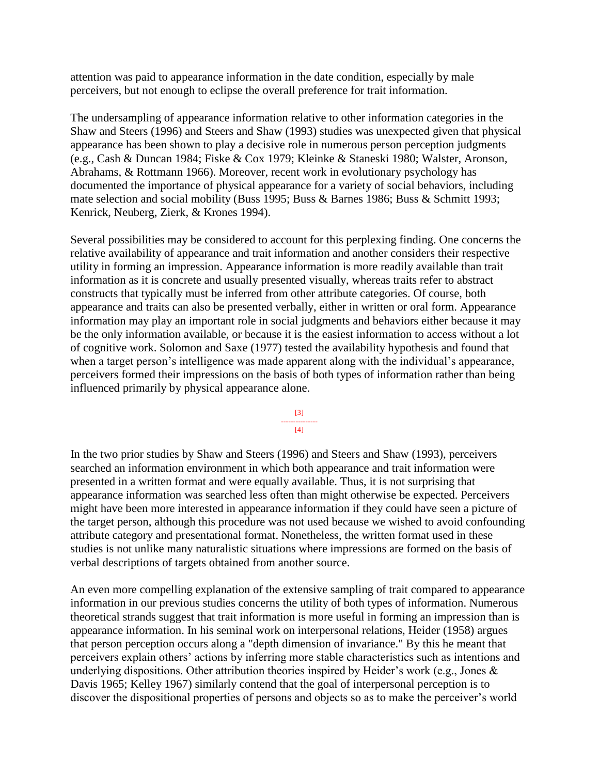attention was paid to appearance information in the date condition, especially by male perceivers, but not enough to eclipse the overall preference for trait information.

The undersampling of appearance information relative to other information categories in the Shaw and Steers (1996) and Steers and Shaw (1993) studies was unexpected given that physical appearance has been shown to play a decisive role in numerous person perception judgments (e.g., Cash & Duncan 1984; Fiske & Cox 1979; Kleinke & Staneski 1980; Walster, Aronson, Abrahams, & Rottmann 1966). Moreover, recent work in evolutionary psychology has documented the importance of physical appearance for a variety of social behaviors, including mate selection and social mobility (Buss 1995; Buss & Barnes 1986; Buss & Schmitt 1993; Kenrick, Neuberg, Zierk, & Krones 1994).

Several possibilities may be considered to account for this perplexing finding. One concerns the relative availability of appearance and trait information and another considers their respective utility in forming an impression. Appearance information is more readily available than trait information as it is concrete and usually presented visually, whereas traits refer to abstract constructs that typically must be inferred from other attribute categories. Of course, both appearance and traits can also be presented verbally, either in written or oral form. Appearance information may play an important role in social judgments and behaviors either because it may be the only information available, or because it is the easiest information to access without a lot of cognitive work. Solomon and Saxe (1977) tested the availability hypothesis and found that when a target person's intelligence was made apparent along with the individual's appearance, perceivers formed their impressions on the basis of both types of information rather than being influenced primarily by physical appearance alone.



In the two prior studies by Shaw and Steers (1996) and Steers and Shaw (1993), perceivers searched an information environment in which both appearance and trait information were presented in a written format and were equally available. Thus, it is not surprising that appearance information was searched less often than might otherwise be expected. Perceivers might have been more interested in appearance information if they could have seen a picture of the target person, although this procedure was not used because we wished to avoid confounding attribute category and presentational format. Nonetheless, the written format used in these studies is not unlike many naturalistic situations where impressions are formed on the basis of verbal descriptions of targets obtained from another source.

An even more compelling explanation of the extensive sampling of trait compared to appearance information in our previous studies concerns the utility of both types of information. Numerous theoretical strands suggest that trait information is more useful in forming an impression than is appearance information. In his seminal work on interpersonal relations, Heider (1958) argues that person perception occurs along a "depth dimension of invariance." By this he meant that perceivers explain others' actions by inferring more stable characteristics such as intentions and underlying dispositions. Other attribution theories inspired by Heider's work (e.g., Jones  $\&$ Davis 1965; Kelley 1967) similarly contend that the goal of interpersonal perception is to discover the dispositional properties of persons and objects so as to make the perceiver's world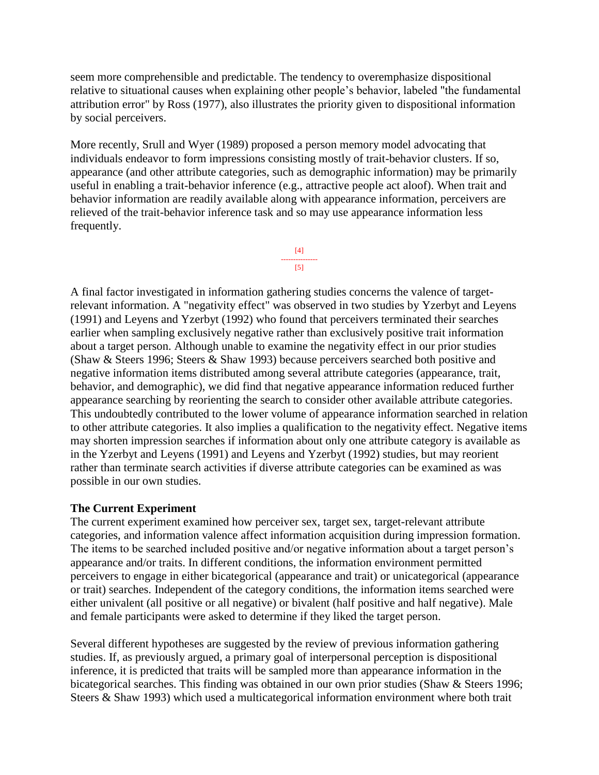seem more comprehensible and predictable. The tendency to overemphasize dispositional relative to situational causes when explaining other people's behavior, labeled "the fundamental attribution error" by Ross (1977), also illustrates the priority given to dispositional information by social perceivers.

More recently, Srull and Wyer (1989) proposed a person memory model advocating that individuals endeavor to form impressions consisting mostly of trait-behavior clusters. If so, appearance (and other attribute categories, such as demographic information) may be primarily useful in enabling a trait-behavior inference (e.g., attractive people act aloof). When trait and behavior information are readily available along with appearance information, perceivers are relieved of the trait-behavior inference task and so may use appearance information less frequently.



A final factor investigated in information gathering studies concerns the valence of targetrelevant information. A "negativity effect" was observed in two studies by Yzerbyt and Leyens (1991) and Leyens and Yzerbyt (1992) who found that perceivers terminated their searches earlier when sampling exclusively negative rather than exclusively positive trait information about a target person. Although unable to examine the negativity effect in our prior studies (Shaw & Steers 1996; Steers & Shaw 1993) because perceivers searched both positive and negative information items distributed among several attribute categories (appearance, trait, behavior, and demographic), we did find that negative appearance information reduced further appearance searching by reorienting the search to consider other available attribute categories. This undoubtedly contributed to the lower volume of appearance information searched in relation to other attribute categories. It also implies a qualification to the negativity effect. Negative items may shorten impression searches if information about only one attribute category is available as in the Yzerbyt and Leyens (1991) and Leyens and Yzerbyt (1992) studies, but may reorient rather than terminate search activities if diverse attribute categories can be examined as was possible in our own studies.

# **The Current Experiment**

The current experiment examined how perceiver sex, target sex, target-relevant attribute categories, and information valence affect information acquisition during impression formation. The items to be searched included positive and/or negative information about a target person's appearance and/or traits. In different conditions, the information environment permitted perceivers to engage in either bicategorical (appearance and trait) or unicategorical (appearance or trait) searches. Independent of the category conditions, the information items searched were either univalent (all positive or all negative) or bivalent (half positive and half negative). Male and female participants were asked to determine if they liked the target person.

Several different hypotheses are suggested by the review of previous information gathering studies. If, as previously argued, a primary goal of interpersonal perception is dispositional inference, it is predicted that traits will be sampled more than appearance information in the bicategorical searches. This finding was obtained in our own prior studies (Shaw & Steers 1996; Steers & Shaw 1993) which used a multicategorical information environment where both trait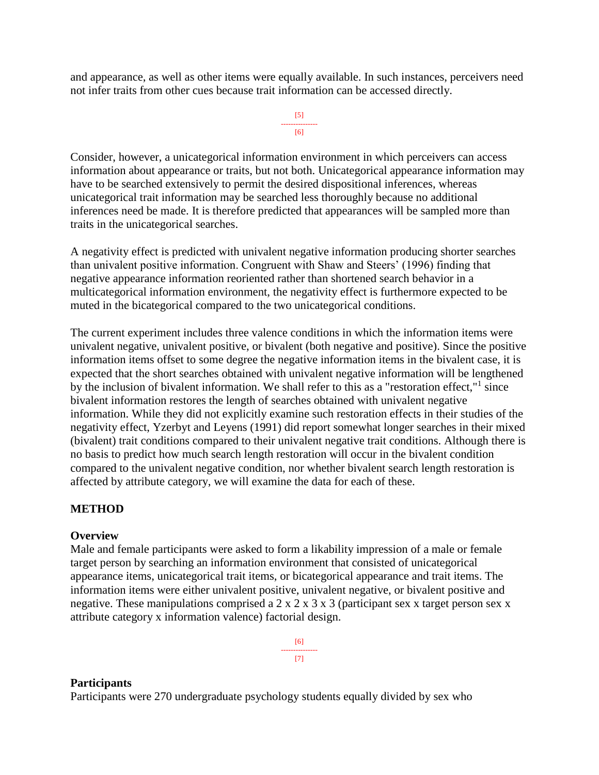and appearance, as well as other items were equally available. In such instances, perceivers need not infer traits from other cues because trait information can be accessed directly.

```
[5]
---------------
      [6]
```
Consider, however, a unicategorical information environment in which perceivers can access information about appearance or traits, but not both. Unicategorical appearance information may have to be searched extensively to permit the desired dispositional inferences, whereas unicategorical trait information may be searched less thoroughly because no additional inferences need be made. It is therefore predicted that appearances will be sampled more than traits in the unicategorical searches.

A negativity effect is predicted with univalent negative information producing shorter searches than univalent positive information. Congruent with Shaw and Steers' (1996) finding that negative appearance information reoriented rather than shortened search behavior in a multicategorical information environment, the negativity effect is furthermore expected to be muted in the bicategorical compared to the two unicategorical conditions.

The current experiment includes three valence conditions in which the information items were univalent negative, univalent positive, or bivalent (both negative and positive). Since the positive information items offset to some degree the negative information items in the bivalent case, it is expected that the short searches obtained with univalent negative information will be lengthened by the inclusion of bivalent information. We shall refer to this as a "restoration effect,"<sup>1</sup> since bivalent information restores the length of searches obtained with univalent negative information. While they did not explicitly examine such restoration effects in their studies of the negativity effect, Yzerbyt and Leyens (1991) did report somewhat longer searches in their mixed (bivalent) trait conditions compared to their univalent negative trait conditions. Although there is no basis to predict how much search length restoration will occur in the bivalent condition compared to the univalent negative condition, nor whether bivalent search length restoration is affected by attribute category, we will examine the data for each of these.

# **METHOD**

### **Overview**

Male and female participants were asked to form a likability impression of a male or female target person by searching an information environment that consisted of unicategorical appearance items, unicategorical trait items, or bicategorical appearance and trait items. The information items were either univalent positive, univalent negative, or bivalent positive and negative. These manipulations comprised a  $2 \times 2 \times 3 \times 3$  (participant sex x target person sex x attribute category x information valence) factorial design.

> [6] --------------- [7]

### **Participants**

Participants were 270 undergraduate psychology students equally divided by sex who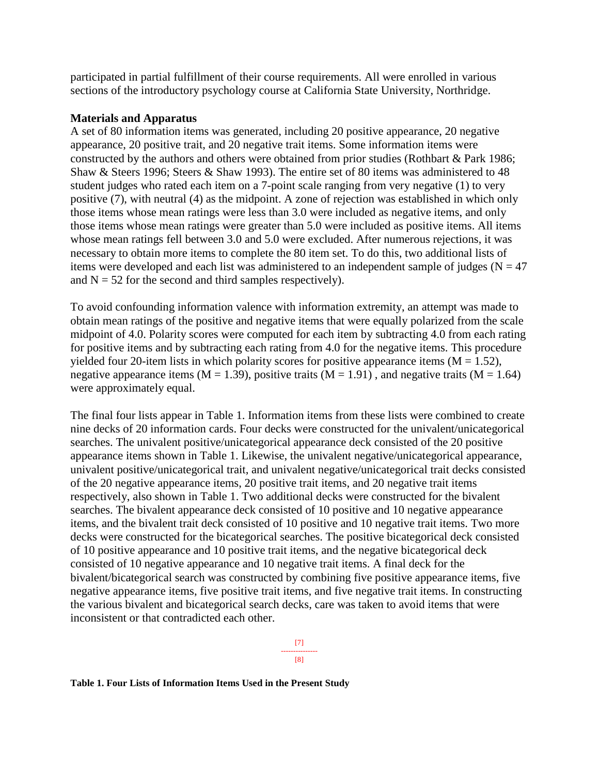participated in partial fulfillment of their course requirements. All were enrolled in various sections of the introductory psychology course at California State University, Northridge.

### **Materials and Apparatus**

A set of 80 information items was generated, including 20 positive appearance, 20 negative appearance, 20 positive trait, and 20 negative trait items. Some information items were constructed by the authors and others were obtained from prior studies (Rothbart & Park 1986; Shaw & Steers 1996; Steers & Shaw 1993). The entire set of 80 items was administered to 48 student judges who rated each item on a 7-point scale ranging from very negative (1) to very positive (7), with neutral (4) as the midpoint. A zone of rejection was established in which only those items whose mean ratings were less than 3.0 were included as negative items, and only those items whose mean ratings were greater than 5.0 were included as positive items. All items whose mean ratings fell between 3.0 and 5.0 were excluded. After numerous rejections, it was necessary to obtain more items to complete the 80 item set. To do this, two additional lists of items were developed and each list was administered to an independent sample of judges ( $N = 47$ ) and  $N = 52$  for the second and third samples respectively).

To avoid confounding information valence with information extremity, an attempt was made to obtain mean ratings of the positive and negative items that were equally polarized from the scale midpoint of 4.0. Polarity scores were computed for each item by subtracting 4.0 from each rating for positive items and by subtracting each rating from 4.0 for the negative items. This procedure yielded four 20-item lists in which polarity scores for positive appearance items  $(M = 1.52)$ , negative appearance items ( $M = 1.39$ ), positive traits ( $M = 1.91$ ), and negative traits ( $M = 1.64$ ) were approximately equal.

The final four lists appear in Table 1. Information items from these lists were combined to create nine decks of 20 information cards. Four decks were constructed for the univalent/unicategorical searches. The univalent positive/unicategorical appearance deck consisted of the 20 positive appearance items shown in Table 1. Likewise, the univalent negative/unicategorical appearance, univalent positive/unicategorical trait, and univalent negative/unicategorical trait decks consisted of the 20 negative appearance items, 20 positive trait items, and 20 negative trait items respectively, also shown in Table 1. Two additional decks were constructed for the bivalent searches. The bivalent appearance deck consisted of 10 positive and 10 negative appearance items, and the bivalent trait deck consisted of 10 positive and 10 negative trait items. Two more decks were constructed for the bicategorical searches. The positive bicategorical deck consisted of 10 positive appearance and 10 positive trait items, and the negative bicategorical deck consisted of 10 negative appearance and 10 negative trait items. A final deck for the bivalent/bicategorical search was constructed by combining five positive appearance items, five negative appearance items, five positive trait items, and five negative trait items. In constructing the various bivalent and bicategorical search decks, care was taken to avoid items that were inconsistent or that contradicted each other.

> [7] --------------- [8]

**Table 1. Four Lists of Information Items Used in the Present Study**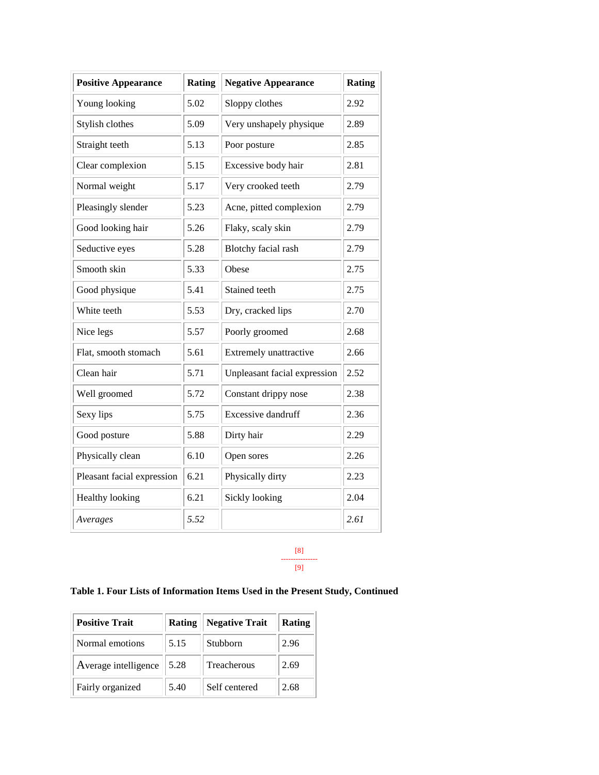| <b>Positive Appearance</b> | Rating | <b>Negative Appearance</b>   | <b>Rating</b> |
|----------------------------|--------|------------------------------|---------------|
| Young looking              | 5.02   | Sloppy clothes               | 2.92          |
| Stylish clothes            | 5.09   | Very unshapely physique      | 2.89          |
| Straight teeth             | 5.13   | Poor posture                 | 2.85          |
| Clear complexion           | 5.15   | Excessive body hair          | 2.81          |
| Normal weight              | 5.17   | Very crooked teeth           | 2.79          |
| Pleasingly slender         | 5.23   | Acne, pitted complexion      | 2.79          |
| Good looking hair          | 5.26   | Flaky, scaly skin            | 2.79          |
| Seductive eyes             | 5.28   | Blotchy facial rash          | 2.79          |
| Smooth skin                | 5.33   | Obese                        | 2.75          |
| Good physique              | 5.41   | Stained teeth                | 2.75          |
| White teeth                | 5.53   | Dry, cracked lips            | 2.70          |
| Nice legs                  | 5.57   | Poorly groomed               | 2.68          |
| Flat, smooth stomach       | 5.61   | Extremely unattractive       | 2.66          |
| Clean hair                 | 5.71   | Unpleasant facial expression | 2.52          |
| Well groomed               | 5.72   | Constant drippy nose         | 2.38          |
| Sexy lips                  | 5.75   | <b>Excessive dandruff</b>    | 2.36          |
| Good posture               | 5.88   | Dirty hair                   | 2.29          |
| Physically clean           | 6.10   | Open sores                   | 2.26          |
| Pleasant facial expression | 6.21   | Physically dirty             | 2.23          |
| Healthy looking            | 6.21   | Sickly looking               | 2.04          |
| Averages                   | 5.52   |                              | 2.61          |

#### [8] --------------- [9]

# **Table 1. Four Lists of Information Items Used in the Present Study, Continued**

| <b>Positive Trait</b> | Rating | <b>Negative Trait</b> | Rating |
|-----------------------|--------|-----------------------|--------|
| Normal emotions       | 5.15   | Stubborn              | 2.96   |
| Average intelligence  | 5.28   | Treacherous           | 2.69   |
| Fairly organized      | 5.40   | Self centered         | 2.68   |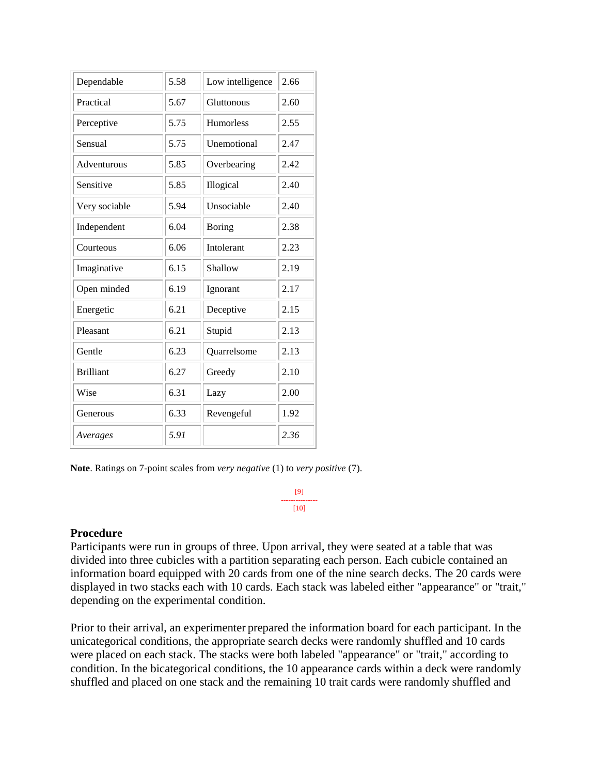| Dependable       | 5.58 | Low intelligence | 2.66 |
|------------------|------|------------------|------|
| Practical        | 5.67 | Gluttonous       | 2.60 |
| Perceptive       | 5.75 | <b>Humorless</b> | 2.55 |
| Sensual          | 5.75 | Unemotional      | 2.47 |
| Adventurous      | 5.85 | Overbearing      | 2.42 |
| Sensitive        | 5.85 | Illogical        | 2.40 |
| Very sociable    | 5.94 | Unsociable       | 2.40 |
| Independent      | 6.04 | <b>Boring</b>    | 2.38 |
| Courteous        | 6.06 | Intolerant       | 2.23 |
| Imaginative      | 6.15 | Shallow          | 2.19 |
| Open minded      | 6.19 | Ignorant         | 2.17 |
| Energetic        | 6.21 | Deceptive        | 2.15 |
| Pleasant         | 6.21 | Stupid           | 2.13 |
| Gentle           | 6.23 | Quarrelsome      | 2.13 |
| <b>Brilliant</b> | 6.27 | Greedy           | 2.10 |
| Wise             | 6.31 | Lazy             | 2.00 |
| Generous         | 6.33 | Revengeful       | 1.92 |
| Averages         | 5.91 |                  | 2.36 |

**Note**. Ratings on 7-point scales from *very negative* (1) to *very positive* (7).

[9] --------------- [10]

### **Procedure**

Participants were run in groups of three. Upon arrival, they were seated at a table that was divided into three cubicles with a partition separating each person. Each cubicle contained an information board equipped with 20 cards from one of the nine search decks. The 20 cards were displayed in two stacks each with 10 cards. Each stack was labeled either "appearance" or "trait," depending on the experimental condition.

Prior to their arrival, an experimenter prepared the information board for each participant. In the unicategorical conditions, the appropriate search decks were randomly shuffled and 10 cards were placed on each stack. The stacks were both labeled "appearance" or "trait," according to condition. In the bicategorical conditions, the 10 appearance cards within a deck were randomly shuffled and placed on one stack and the remaining 10 trait cards were randomly shuffled and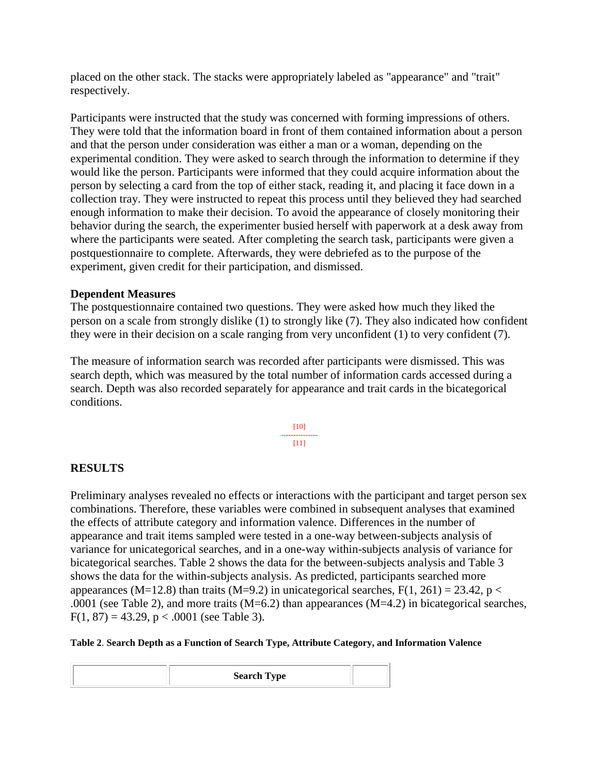placed on the other stack. The stacks were appropriately labeled as "appearance" and "trait" respectively.

Participants were instructed that the study was concerned with forming impressions of others. They were told that the information board in front of them contained information about a person and that the person under consideration was either a man or a woman, depending on the experimental condition. They were asked to search through the information to determine if they would like the person. Participants were informed that they could acquire information about the person by selecting a card from the top of either stack, reading it, and placing it face down in a collection tray. They were instructed to repeat this process until they believed they had searched enough information to make their decision. To avoid the appearance of closely monitoring their behavior during the search, the experimenter busied herself with paperwork at a desk away from where the participants were seated. After completing the search task, participants were given a postquestionnaire to complete. Afterwards, they were debriefed as to the purpose of the experiment, given credit for their participation, and dismissed.

### **Dependent Measures**

The postquestionnaire contained two questions. They were asked how much they liked the person on a scale from strongly dislike (1) to strongly like (7). They also indicated how confident they were in their decision on a scale ranging from very unconfident (1) to very confident (7).

The measure of information search was recorded after participants were dismissed. This was search depth, which was measured by the total number of information cards accessed during a search. Depth was also recorded separately for appearance and trait cards in the bicategorical conditions.

> [10] ---------------  $[11]$

### **RESULTS**

Preliminary analyses revealed no effects or interactions with the participant and target person sex combinations. Therefore, these variables were combined in subsequent analyses that examined the effects of attribute category and information valence. Differences in the number of appearance and trait items sampled were tested in a one-way between-subjects analysis of variance for unicategorical searches, and in a one-way within-subjects analysis of variance for bicategorical searches. Table 2 shows the data for the between-subjects analysis and Table 3 shows the data for the within-subjects analysis. As predicted, participants searched more appearances (M=12.8) than traits (M=9.2) in unicategorical searches,  $F(1, 261) = 23.42$ , p < .0001 (see Table 2), and more traits  $(M=6.2)$  than appearances  $(M=4.2)$  in bicategorical searches,  $F(1, 87) = 43.29$ , p < .0001 (see Table 3).

**Table 2**. **Search Depth as a Function of Search Type, Attribute Category, and Information Valence**

| <b>Search Type</b> |  |
|--------------------|--|
|--------------------|--|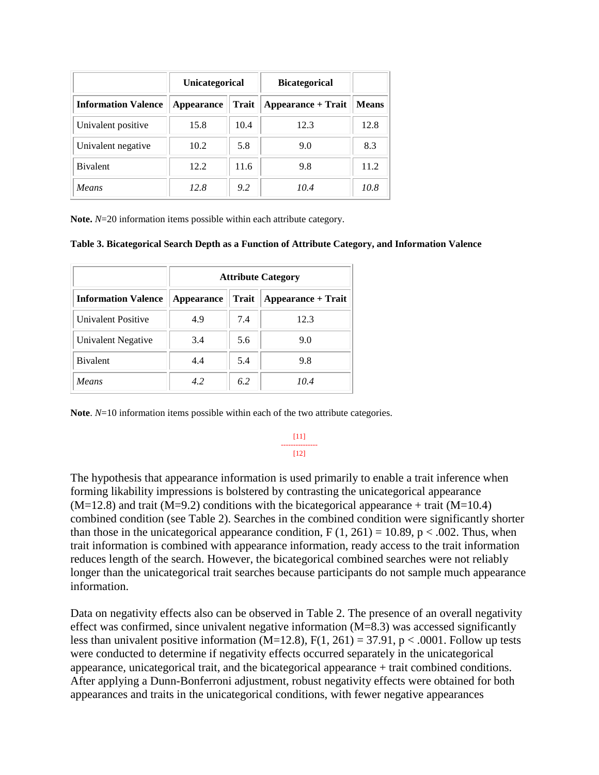|                            | <b>Unicategorical</b> |              | <b>Bicategorical</b> |              |
|----------------------------|-----------------------|--------------|----------------------|--------------|
| <b>Information Valence</b> | <b>Appearance</b>     | <b>Trait</b> | Appearance + Trait   | <b>Means</b> |
| Univalent positive         | 15.8                  | 10.4         | 12.3                 | 12.8         |
| Univalent negative         | 10.2                  | 5.8          | 9.0                  | 8.3          |
| <b>B</b> ivalent           | 12.2                  | 11.6         | 9.8                  | 11.2         |
| <b>Means</b>               | 12.8                  | 9.2          | 10.4                 | 10.8         |

**Note.** *N*=20 information items possible within each attribute category.

**Table 3. Bicategorical Search Depth as a Function of Attribute Category, and Information Valence**

|                            | <b>Attribute Category</b> |       |                           |  |
|----------------------------|---------------------------|-------|---------------------------|--|
| <b>Information Valence</b> | <b>Appearance</b>         | Trait | <b>Appearance + Trait</b> |  |
| Univalent Positive         | 4.9                       | 7.4   | 12.3                      |  |
| Univalent Negative         | 3.4                       | 5.6   | 9.0                       |  |
| <b>B</b> ivalent           | 4.4                       | 5.4   | 9.8                       |  |
| Means                      | 4.2                       | 6.2   | 10.4                      |  |

**Note**.  $N=10$  information items possible within each of the two attribute categories.

[11] --------------- [12]

The hypothesis that appearance information is used primarily to enable a trait inference when forming likability impressions is bolstered by contrasting the unicategorical appearance  $(M=12.8)$  and trait  $(M=9.2)$  conditions with the bicategorical appearance + trait  $(M=10.4)$ combined condition (see Table 2). Searches in the combined condition were significantly shorter than those in the unicategorical appearance condition,  $F(1, 261) = 10.89$ ,  $p < .002$ . Thus, when trait information is combined with appearance information, ready access to the trait information reduces length of the search. However, the bicategorical combined searches were not reliably longer than the unicategorical trait searches because participants do not sample much appearance information.

Data on negativity effects also can be observed in Table 2. The presence of an overall negativity effect was confirmed, since univalent negative information (M=8.3) was accessed significantly less than univalent positive information (M=12.8),  $F(1, 261) = 37.91$ , p < .0001. Follow up tests were conducted to determine if negativity effects occurred separately in the unicategorical appearance, unicategorical trait, and the bicategorical appearance + trait combined conditions. After applying a Dunn-Bonferroni adjustment, robust negativity effects were obtained for both appearances and traits in the unicategorical conditions, with fewer negative appearances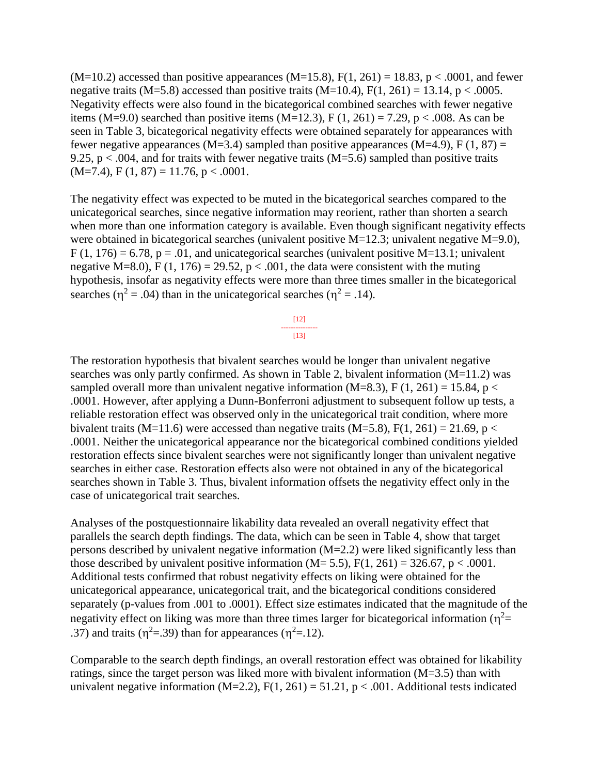$(M=10.2)$  accessed than positive appearances  $(M=15.8)$ ,  $F(1, 261) = 18.83$ ,  $p < .0001$ , and fewer negative traits (M=5.8) accessed than positive traits (M=10.4),  $F(1, 261) = 13.14$ , p < .0005. Negativity effects were also found in the bicategorical combined searches with fewer negative items (M=9.0) searched than positive items (M=12.3), F (1, 261) = 7.29, p < .008. As can be seen in Table 3, bicategorical negativity effects were obtained separately for appearances with fewer negative appearances (M=3.4) sampled than positive appearances (M=4.9), F (1, 87) = 9.25,  $p < .004$ , and for traits with fewer negative traits (M=5.6) sampled than positive traits  $(M=7.4)$ , F  $(1, 87) = 11.76$ , p < .0001.

The negativity effect was expected to be muted in the bicategorical searches compared to the unicategorical searches, since negative information may reorient, rather than shorten a search when more than one information category is available. Even though significant negativity effects were obtained in bicategorical searches (univalent positive M=12.3; univalent negative M=9.0),  $F(1, 176) = 6.78$ ,  $p = .01$ , and unicategorical searches (univalent positive M=13.1; univalent negative M=8.0), F (1, 176) = 29.52,  $p < .001$ , the data were consistent with the muting hypothesis, insofar as negativity effects were more than three times smaller in the bicategorical searches ( $\eta^2$  = .04) than in the unicategorical searches ( $\eta^2$  = .14).

The restoration hypothesis that bivalent searches would be longer than univalent negative searches was only partly confirmed. As shown in Table 2, bivalent information (M=11.2) was sampled overall more than univalent negative information (M=8.3), F (1, 261) = 15.84,  $p <$ .0001. However, after applying a Dunn-Bonferroni adjustment to subsequent follow up tests, a reliable restoration effect was observed only in the unicategorical trait condition, where more bivalent traits (M=11.6) were accessed than negative traits (M=5.8), F(1, 261) = 21.69, p < .0001. Neither the unicategorical appearance nor the bicategorical combined conditions yielded restoration effects since bivalent searches were not significantly longer than univalent negative searches in either case. Restoration effects also were not obtained in any of the bicategorical searches shown in Table 3. Thus, bivalent information offsets the negativity effect only in the case of unicategorical trait searches.

Analyses of the postquestionnaire likability data revealed an overall negativity effect that parallels the search depth findings. The data, which can be seen in Table 4, show that target persons described by univalent negative information (M=2.2) were liked significantly less than those described by univalent positive information ( $M = 5.5$ ),  $F(1, 261) = 326.67$ ,  $p < .0001$ . Additional tests confirmed that robust negativity effects on liking were obtained for the unicategorical appearance, unicategorical trait, and the bicategorical conditions considered separately (p-values from .001 to .0001). Effect size estimates indicated that the magnitude of the negativity effect on liking was more than three times larger for bicategorical information ( $\eta^2$ = .37) and traits ( $\eta^2$ =.39) than for appearances ( $\eta^2$ =.12).

Comparable to the search depth findings, an overall restoration effect was obtained for likability ratings, since the target person was liked more with bivalent information (M=3.5) than with univalent negative information (M=2.2),  $F(1, 261) = 51.21$ ,  $p < .001$ . Additional tests indicated

[12] --------------- [13]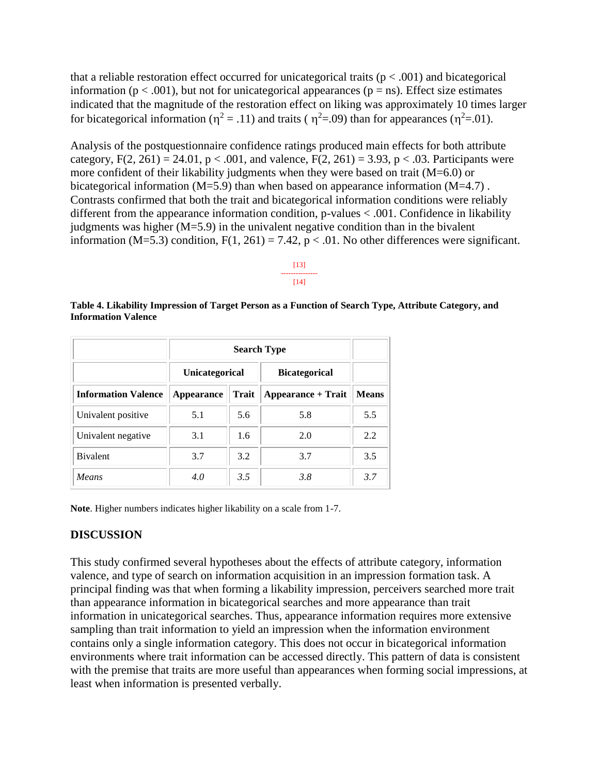that a reliable restoration effect occurred for unicategorical traits ( $p < .001$ ) and bicategorical information ( $p < .001$ ), but not for unicategorical appearances ( $p = ns$ ). Effect size estimates indicated that the magnitude of the restoration effect on liking was approximately 10 times larger for bicategorical information ( $\eta^2 = .11$ ) and traits ( $\eta^2 = .09$ ) than for appearances ( $\eta^2 = .01$ ).

Analysis of the postquestionnaire confidence ratings produced main effects for both attribute category,  $F(2, 261) = 24.01$ ,  $p < .001$ , and valence,  $F(2, 261) = 3.93$ ,  $p < .03$ . Participants were more confident of their likability judgments when they were based on trait (M=6.0) or bicategorical information (M=5.9) than when based on appearance information (M=4.7). Contrasts confirmed that both the trait and bicategorical information conditions were reliably different from the appearance information condition, p-values < .001. Confidence in likability judgments was higher  $(M=5.9)$  in the univalent negative condition than in the bivalent information (M=5.3) condition,  $F(1, 261) = 7.42$ ,  $p < .01$ . No other differences were significant.

#### [13] --------------- [14]

**Table 4. Likability Impression of Target Person as a Function of Search Type, Attribute Category, and Information Valence**

|                            | <b>Unicategorical</b> |       | <b>Bicategorical</b> |              |
|----------------------------|-----------------------|-------|----------------------|--------------|
| <b>Information Valence</b> | <b>Appearance</b>     | Trait | Appearance + Trait   | <b>Means</b> |
| Univalent positive         | 5.1                   | 5.6   | 5.8                  | 5.5          |
| Univalent negative         | 3.1                   | 1.6   | 2.0                  | 2.2          |
| <b>B</b> ivalent           | 3.7                   | 3.2   | 3.7                  | 3.5          |
| Means                      | 4.0                   | 3.5   | 3.8                  | 3.7          |

**Note**. Higher numbers indicates higher likability on a scale from 1-7.

# **DISCUSSION**

This study confirmed several hypotheses about the effects of attribute category, information valence, and type of search on information acquisition in an impression formation task. A principal finding was that when forming a likability impression, perceivers searched more trait than appearance information in bicategorical searches and more appearance than trait information in unicategorical searches. Thus, appearance information requires more extensive sampling than trait information to yield an impression when the information environment contains only a single information category. This does not occur in bicategorical information environments where trait information can be accessed directly. This pattern of data is consistent with the premise that traits are more useful than appearances when forming social impressions, at least when information is presented verbally.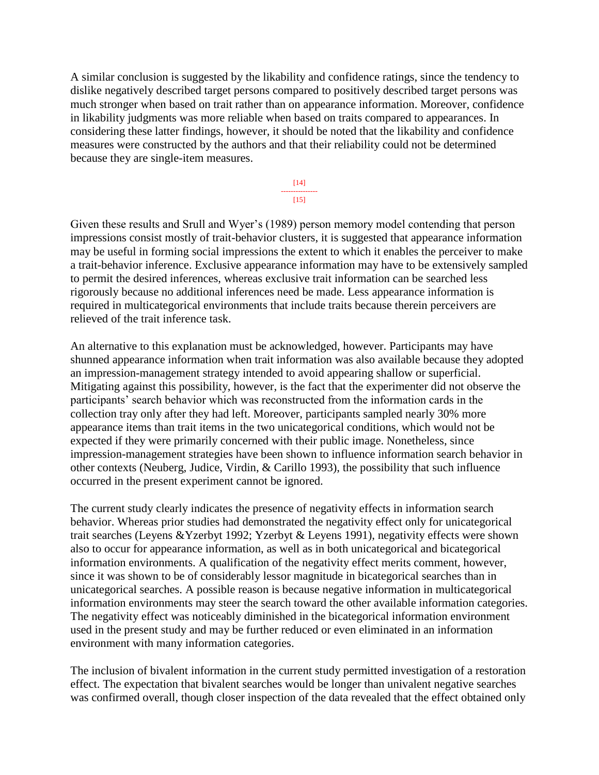A similar conclusion is suggested by the likability and confidence ratings, since the tendency to dislike negatively described target persons compared to positively described target persons was much stronger when based on trait rather than on appearance information. Moreover, confidence in likability judgments was more reliable when based on traits compared to appearances. In considering these latter findings, however, it should be noted that the likability and confidence measures were constructed by the authors and that their reliability could not be determined because they are single-item measures.

> [14] --------------- [15]

Given these results and Srull and Wyer's (1989) person memory model contending that person impressions consist mostly of trait-behavior clusters, it is suggested that appearance information may be useful in forming social impressions the extent to which it enables the perceiver to make a trait-behavior inference. Exclusive appearance information may have to be extensively sampled to permit the desired inferences, whereas exclusive trait information can be searched less rigorously because no additional inferences need be made. Less appearance information is required in multicategorical environments that include traits because therein perceivers are relieved of the trait inference task.

An alternative to this explanation must be acknowledged, however. Participants may have shunned appearance information when trait information was also available because they adopted an impression-management strategy intended to avoid appearing shallow or superficial. Mitigating against this possibility, however, is the fact that the experimenter did not observe the participants' search behavior which was reconstructed from the information cards in the collection tray only after they had left. Moreover, participants sampled nearly 30% more appearance items than trait items in the two unicategorical conditions, which would not be expected if they were primarily concerned with their public image. Nonetheless, since impression-management strategies have been shown to influence information search behavior in other contexts (Neuberg, Judice, Virdin, & Carillo 1993), the possibility that such influence occurred in the present experiment cannot be ignored.

The current study clearly indicates the presence of negativity effects in information search behavior. Whereas prior studies had demonstrated the negativity effect only for unicategorical trait searches (Leyens &Yzerbyt 1992; Yzerbyt & Leyens 1991), negativity effects were shown also to occur for appearance information, as well as in both unicategorical and bicategorical information environments. A qualification of the negativity effect merits comment, however, since it was shown to be of considerably lessor magnitude in bicategorical searches than in unicategorical searches. A possible reason is because negative information in multicategorical information environments may steer the search toward the other available information categories. The negativity effect was noticeably diminished in the bicategorical information environment used in the present study and may be further reduced or even eliminated in an information environment with many information categories.

The inclusion of bivalent information in the current study permitted investigation of a restoration effect. The expectation that bivalent searches would be longer than univalent negative searches was confirmed overall, though closer inspection of the data revealed that the effect obtained only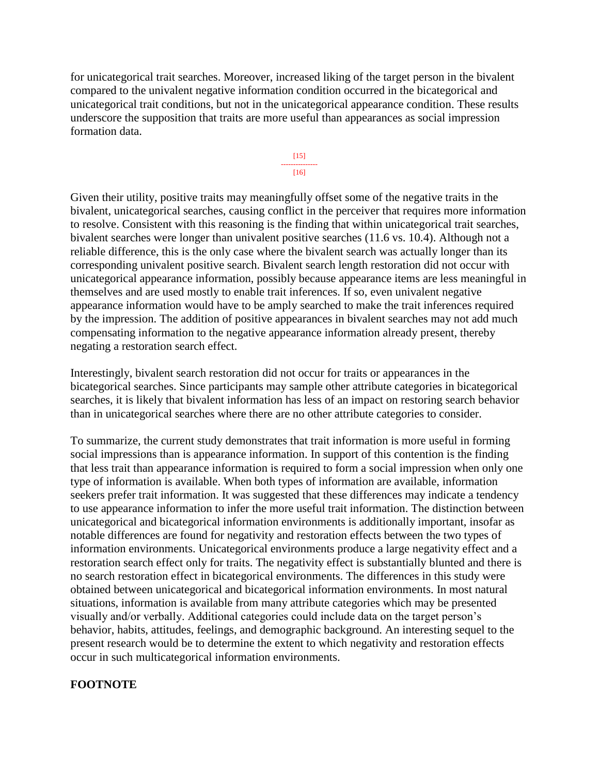for unicategorical trait searches. Moreover, increased liking of the target person in the bivalent compared to the univalent negative information condition occurred in the bicategorical and unicategorical trait conditions, but not in the unicategorical appearance condition. These results underscore the supposition that traits are more useful than appearances as social impression formation data.



Given their utility, positive traits may meaningfully offset some of the negative traits in the bivalent, unicategorical searches, causing conflict in the perceiver that requires more information to resolve. Consistent with this reasoning is the finding that within unicategorical trait searches, bivalent searches were longer than univalent positive searches (11.6 vs. 10.4). Although not a reliable difference, this is the only case where the bivalent search was actually longer than its corresponding univalent positive search. Bivalent search length restoration did not occur with unicategorical appearance information, possibly because appearance items are less meaningful in themselves and are used mostly to enable trait inferences. If so, even univalent negative appearance information would have to be amply searched to make the trait inferences required by the impression. The addition of positive appearances in bivalent searches may not add much compensating information to the negative appearance information already present, thereby negating a restoration search effect.

Interestingly, bivalent search restoration did not occur for traits or appearances in the bicategorical searches. Since participants may sample other attribute categories in bicategorical searches, it is likely that bivalent information has less of an impact on restoring search behavior than in unicategorical searches where there are no other attribute categories to consider.

To summarize, the current study demonstrates that trait information is more useful in forming social impressions than is appearance information. In support of this contention is the finding that less trait than appearance information is required to form a social impression when only one type of information is available. When both types of information are available, information seekers prefer trait information. It was suggested that these differences may indicate a tendency to use appearance information to infer the more useful trait information. The distinction between unicategorical and bicategorical information environments is additionally important, insofar as notable differences are found for negativity and restoration effects between the two types of information environments. Unicategorical environments produce a large negativity effect and a restoration search effect only for traits. The negativity effect is substantially blunted and there is no search restoration effect in bicategorical environments. The differences in this study were obtained between unicategorical and bicategorical information environments. In most natural situations, information is available from many attribute categories which may be presented visually and/or verbally. Additional categories could include data on the target person's behavior, habits, attitudes, feelings, and demographic background. An interesting sequel to the present research would be to determine the extent to which negativity and restoration effects occur in such multicategorical information environments.

### **FOOTNOTE**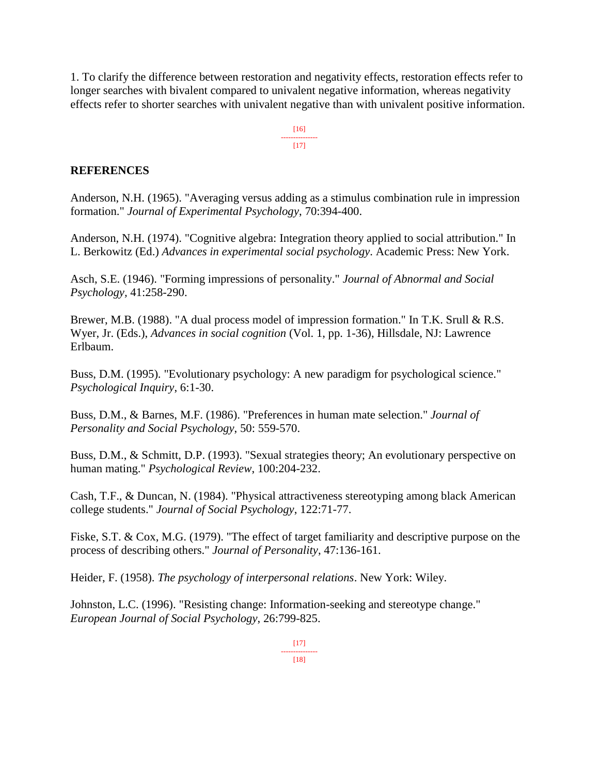1. To clarify the difference between restoration and negativity effects, restoration effects refer to longer searches with bivalent compared to univalent negative information, whereas negativity effects refer to shorter searches with univalent negative than with univalent positive information.

> [16] ---------------  $[17]$

### **REFERENCES**

Anderson, N.H. (1965). "Averaging versus adding as a stimulus combination rule in impression formation." *Journal of Experimental Psychology*, 70:394-400.

Anderson, N.H. (1974). "Cognitive algebra: Integration theory applied to social attribution." In L. Berkowitz (Ed.) *Advances in experimental social psychology*. Academic Press: New York.

Asch, S.E. (1946). "Forming impressions of personality." *Journal of Abnormal and Social Psychology,* 41:258-290.

Brewer, M.B. (1988). "A dual process model of impression formation." In T.K. Srull & R.S. Wyer, Jr. (Eds.), *Advances in social cognition* (Vol. 1, pp. 1-36), Hillsdale, NJ: Lawrence Erlbaum.

Buss, D.M. (1995). "Evolutionary psychology: A new paradigm for psychological science." *Psychological Inquiry*, 6:1-30.

Buss, D.M., & Barnes, M.F. (1986). "Preferences in human mate selection." *Journal of Personality and Social Psychology*, 50: 559-570.

Buss, D.M., & Schmitt, D.P. (1993). "Sexual strategies theory; An evolutionary perspective on human mating." *Psychological Review*, 100:204-232.

Cash, T.F., & Duncan, N. (1984). "Physical attractiveness stereotyping among black American college students." *Journal of Social Psychology*, 122:71-77.

Fiske, S.T. & Cox, M.G. (1979). "The effect of target familiarity and descriptive purpose on the process of describing others." *Journal of Personality*, 47:136-161.

Heider, F. (1958). *The psychology of interpersonal relations*. New York: Wiley.

Johnston, L.C. (1996). "Resisting change: Information-seeking and stereotype change." *European Journal of Social Psychology*, 26:799-825.

> $[17]$ ---------------

[18]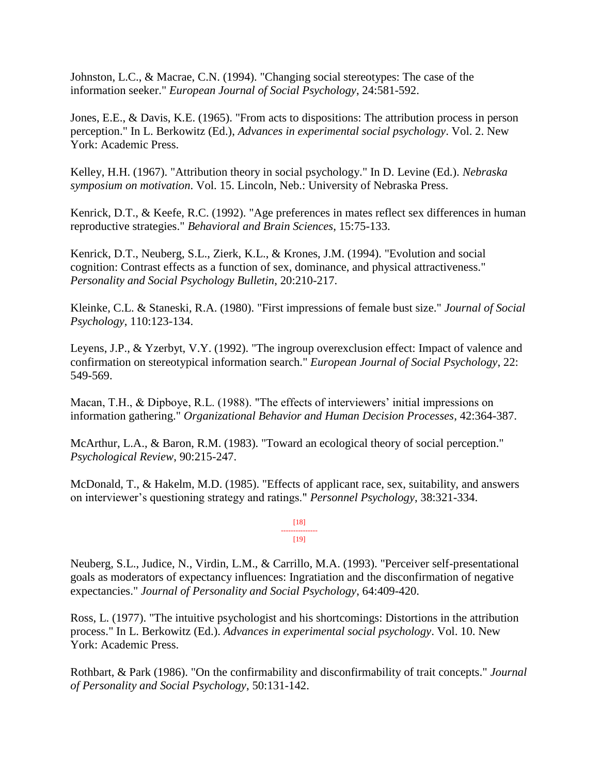Johnston, L.C., & Macrae, C.N. (1994). "Changing social stereotypes: The case of the information seeker." *European Journal of Social Psychology*, 24:581-592.

Jones, E.E., & Davis, K.E. (1965). "From acts to dispositions: The attribution process in person perception." In L. Berkowitz (Ed.), *Advances in experimental social psychology*. Vol. 2. New York: Academic Press.

Kelley, H.H. (1967). "Attribution theory in social psychology." In D. Levine (Ed.). *Nebraska symposium on motivation*. Vol. 15. Lincoln, Neb.: University of Nebraska Press.

Kenrick, D.T., & Keefe, R.C. (1992). "Age preferences in mates reflect sex differences in human reproductive strategies." *Behavioral and Brain Sciences*, 15:75-133.

Kenrick, D.T., Neuberg, S.L., Zierk, K.L., & Krones, J.M. (1994). "Evolution and social cognition: Contrast effects as a function of sex, dominance, and physical attractiveness." *Personality and Social Psychology Bulletin*, 20:210-217.

Kleinke, C.L. & Staneski, R.A. (1980). "First impressions of female bust size." *Journal of Social Psychology*, 110:123-134.

Leyens, J.P., & Yzerbyt, V.Y. (1992). "The ingroup overexclusion effect: Impact of valence and confirmation on stereotypical information search." *European Journal of Social Psychology*, 22: 549-569.

Macan, T.H., & Dipboye, R.L. (1988). "The effects of interviewers' initial impressions on information gathering." *Organizational Behavior and Human Decision Processes*, 42:364-387.

McArthur, L.A., & Baron, R.M. (1983). "Toward an ecological theory of social perception." *Psychological Review*, 90:215-247.

McDonald, T., & Hakelm, M.D. (1985). "Effects of applicant race, sex, suitability, and answers on interviewer's questioning strategy and ratings." *Personnel Psychology*, 38:321-334.

> [18] --------------- [19]

Neuberg, S.L., Judice, N., Virdin, L.M., & Carrillo, M.A. (1993). "Perceiver self-presentational goals as moderators of expectancy influences: Ingratiation and the disconfirmation of negative expectancies." *Journal of Personality and Social Psychology*, 64:409-420.

Ross, L. (1977). "The intuitive psychologist and his shortcomings: Distortions in the attribution process." In L. Berkowitz (Ed.). *Advances in experimental social psychology*. Vol. 10. New York: Academic Press.

Rothbart, & Park (1986). "On the confirmability and disconfirmability of trait concepts." *Journal of Personality and Social Psychology*, 50:131-142.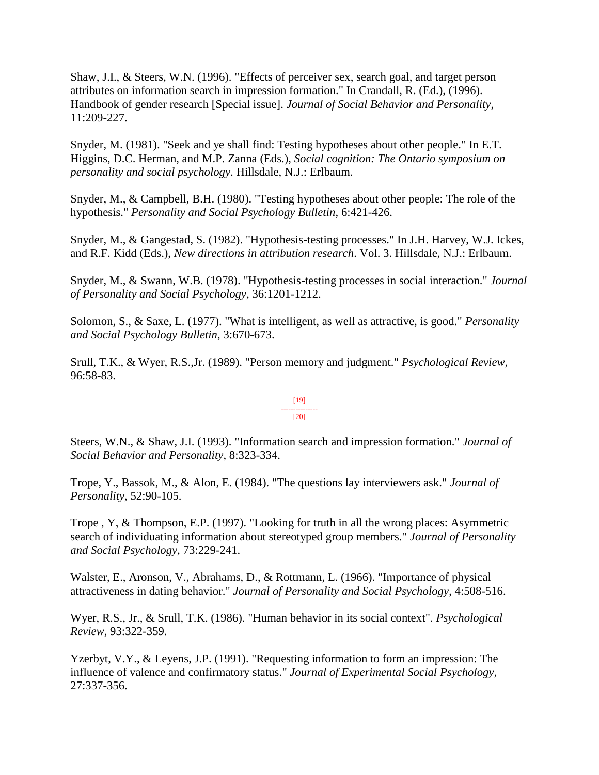Shaw, J.I., & Steers, W.N. (1996). "Effects of perceiver sex, search goal, and target person attributes on information search in impression formation." In Crandall, R. (Ed.), (1996). Handbook of gender research [Special issue]. *Journal of Social Behavior and Personality*, 11:209-227.

Snyder, M. (1981). "Seek and ye shall find: Testing hypotheses about other people." In E.T. Higgins, D.C. Herman, and M.P. Zanna (Eds.), *Social cognition: The Ontario symposium on personality and social psychology*. Hillsdale, N.J.: Erlbaum.

Snyder, M., & Campbell, B.H. (1980). "Testing hypotheses about other people: The role of the hypothesis." *Personality and Social Psychology Bulletin*, 6:421-426.

Snyder, M., & Gangestad, S. (1982). "Hypothesis-testing processes." In J.H. Harvey, W.J. Ickes, and R.F. Kidd (Eds.), *New directions in attribution research*. Vol. 3. Hillsdale, N.J.: Erlbaum.

Snyder, M., & Swann, W.B. (1978). "Hypothesis-testing processes in social interaction." *Journal of Personality and Social Psychology*, 36:1201-1212.

Solomon, S., & Saxe, L. (1977). "What is intelligent, as well as attractive, is good." *Personality and Social Psychology Bulletin*, 3:670-673.

Srull, T.K., & Wyer, R.S.,Jr. (1989). "Person memory and judgment." *Psychological Review*, 96:58-83.

#### [19] --------------- [20]

Steers, W.N., & Shaw, J.I. (1993). "Information search and impression formation." *Journal of Social Behavior and Personality*, 8:323-334.

Trope, Y., Bassok, M., & Alon, E. (1984). "The questions lay interviewers ask." *Journal of Personality*, 52:90-105.

Trope , Y, & Thompson, E.P. (1997). "Looking for truth in all the wrong places: Asymmetric search of individuating information about stereotyped group members." *Journal of Personality and Social Psychology*, 73:229-241.

Walster, E., Aronson, V., Abrahams, D., & Rottmann, L. (1966). "Importance of physical attractiveness in dating behavior." *Journal of Personality and Social Psychology*, 4:508-516.

Wyer, R.S., Jr., & Srull, T.K. (1986). "Human behavior in its social context". *Psychological Review*, 93:322-359.

Yzerbyt, V.Y., & Leyens, J.P. (1991). "Requesting information to form an impression: The influence of valence and confirmatory status." *Journal of Experimental Social Psychology*, 27:337-356.